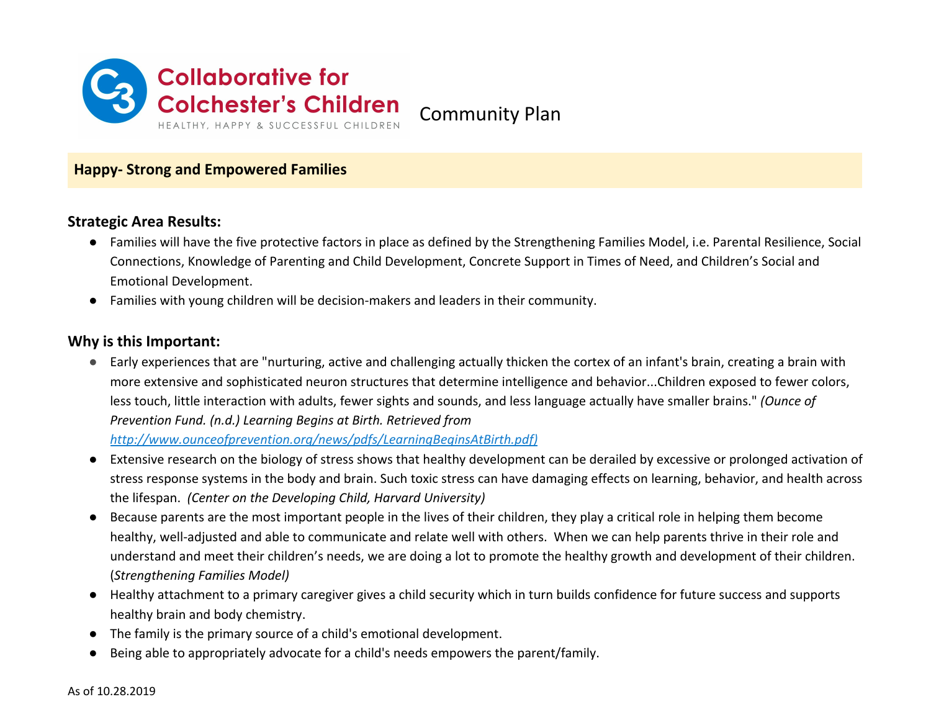

Community Plan

## **Happy- Strong and Empowered Families**

#### **Strategic Area Results:**

- Families will have the five protective factors in place as defined by the Strengthening Families Model, i.e. Parental Resilience, Social Connections, Knowledge of Parenting and Child Development, Concrete Support in Times of Need, and Children's Social and Emotional Development.
- Families with young children will be decision-makers and leaders in their community.

#### **Why is this Important:**

● Early experiences that are "nurturing, active and challenging actually thicken the cortex of an infant's brain, creating a brain with more extensive and sophisticated neuron structures that determine intelligence and behavior...Children exposed to fewer colors, less touch, little interaction with adults, fewer sights and sounds, and less language actually have smaller brains." *(Ounce of Prevention Fund. (n.d.) Learning Begins at Birth. Retrieved from*

*[http://www.ounceofprevention.org/news/pdfs/LearningBeginsAtBirth.pdf\)](http://www.ounceofprevention.org/news/pdfs/LearningBeginsAtBirth.pdf))*

- Extensive research on the biology of stress shows that healthy development can be derailed by excessive or prolonged activation of stress response systems in the body and brain. Such toxic stress can have damaging effects on learning, behavior, and health across the lifespan. *(Center on the Developing Child, Harvard University)*
- Because parents are the most important people in the lives of their children, they play a critical role in helping them become healthy, well-adjusted and able to communicate and relate well with others. When we can help parents thrive in their role and understand and meet their children's needs, we are doing a lot to promote the healthy growth and development of their children. (*Strengthening Families Model)*
- Healthy attachment to a primary caregiver gives a child security which in turn builds confidence for future success and supports healthy brain and body chemistry.
- The family is the primary source of a child's emotional development.
- Being able to appropriately advocate for a child's needs empowers the parent/family.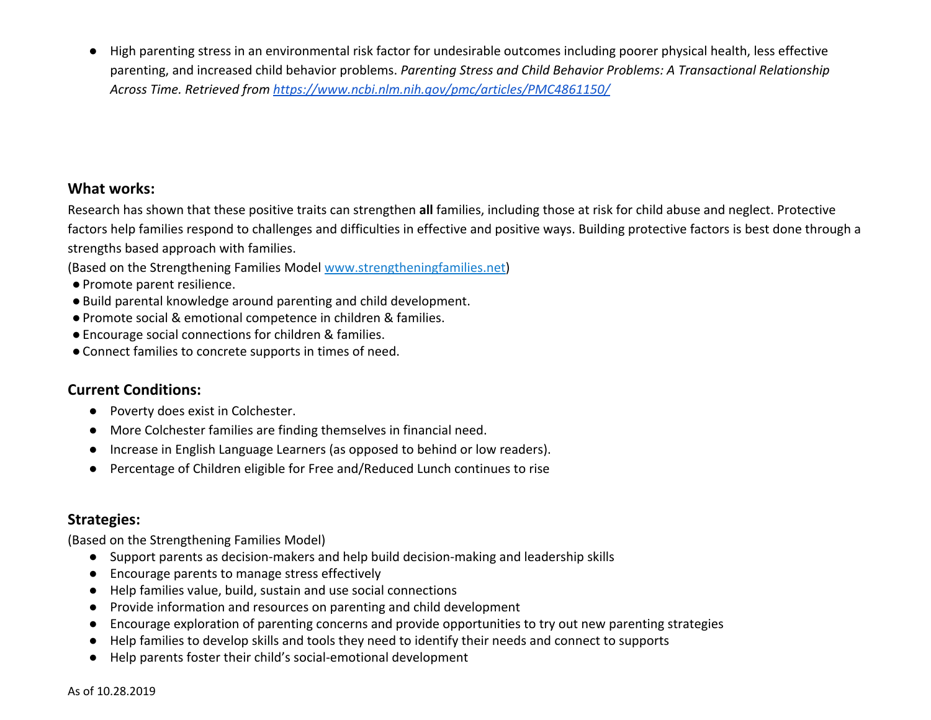● High parenting stress in an environmental risk factor for undesirable outcomes including poorer physical health, less effective parenting, and increased child behavior problems. *Parenting Stress and Child Behavior Problems: A Transactional Relationship Across Time. Retrieved from<https://www.ncbi.nlm.nih.gov/pmc/articles/PMC4861150/>*

### **What works:**

Research has shown that these positive traits can strengthen **all** families, including those at risk for child abuse and neglect. Protective factors help families respond to challenges and difficulties in effective and positive ways. Building protective factors is best done through a strengths based approach with families.

(Based on the Strengthening Families Model [www.strengtheningfamilies.net](http://www.strengtheningfamilies.net/))

- ●Promote parent resilience.
- ●Build parental knowledge around parenting and child development.
- ●Promote social & emotional competence in children & families.
- ●Encourage social connections for children & families.
- ●Connect families to concrete supports in times of need.

# **Current Conditions:**

- Poverty does exist in Colchester.
- More Colchester families are finding themselves in financial need.
- Increase in English Language Learners (as opposed to behind or low readers).
- Percentage of Children eligible for Free and/Reduced Lunch continues to rise

# **Strategies:**

(Based on the Strengthening Families Model)

- Support parents as decision-makers and help build decision-making and leadership skills
- Encourage parents to manage stress effectively
- Help families value, build, sustain and use social connections
- Provide information and resources on parenting and child development
- Encourage exploration of parenting concerns and provide opportunities to try out new parenting strategies
- Help families to develop skills and tools they need to identify their needs and connect to supports
- Help parents foster their child's social-emotional development